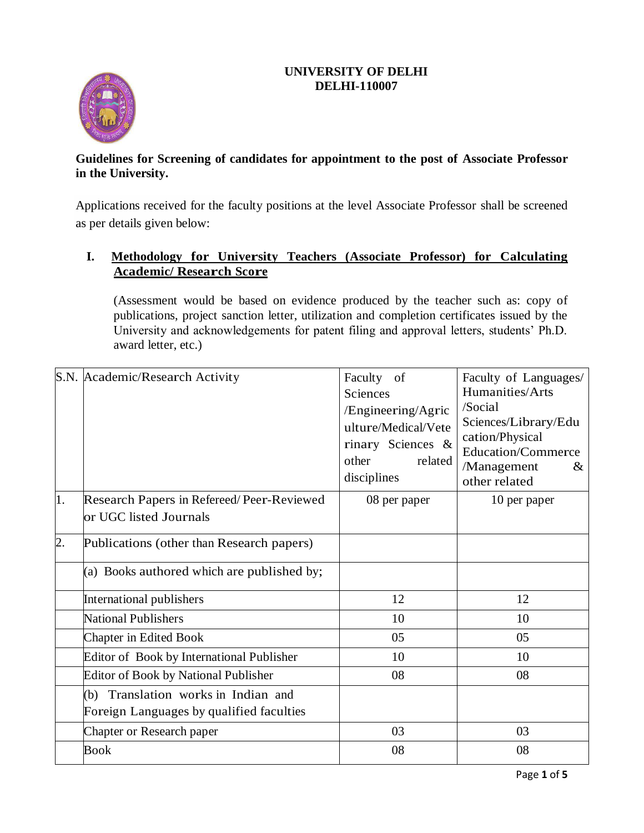# **UNIVERSITY OF DELHI DELHI-110007**



# **Guidelines for Screening of candidates for appointment to the post of Associate Professor in the University.**

Applications received for the faculty positions at the level Associate Professor shall be screened as per details given below:

# **I. Methodology for University Teachers (Associate Professor) for Calculating Academic/ Research Score**

(Assessment would be based on evidence produced by the teacher such as: copy of publications, project sanction letter, utilization and completion certificates issued by the University and acknowledgements for patent filing and approval letters, students' Ph.D. award letter, etc.)

|                  | S.N. Academic/Research Activity                                                 | Faculty<br>of<br>Sciences<br>/Engineering/Agric<br>ulture/Medical/Vete<br>rinary Sciences &<br>other<br>related<br>disciplines | Faculty of Languages/<br>Humanities/Arts<br>/Social<br>Sciences/Library/Edu<br>cation/Physical<br><b>Education/Commerce</b><br>/Management<br>$\&$<br>other related |
|------------------|---------------------------------------------------------------------------------|--------------------------------------------------------------------------------------------------------------------------------|---------------------------------------------------------------------------------------------------------------------------------------------------------------------|
| 1.               | Research Papers in Refereed/Peer-Reviewed<br>or UGC listed Journals             | 08 per paper                                                                                                                   | 10 per paper                                                                                                                                                        |
| $\overline{2}$ . | Publications (other than Research papers)                                       |                                                                                                                                |                                                                                                                                                                     |
|                  | (a) Books authored which are published by;                                      |                                                                                                                                |                                                                                                                                                                     |
|                  | International publishers                                                        | 12                                                                                                                             | 12                                                                                                                                                                  |
|                  | <b>National Publishers</b>                                                      | 10                                                                                                                             | 10                                                                                                                                                                  |
|                  | Chapter in Edited Book                                                          | 05                                                                                                                             | 05                                                                                                                                                                  |
|                  | Editor of Book by International Publisher                                       | 10                                                                                                                             | 10                                                                                                                                                                  |
|                  | <b>Editor of Book by National Publisher</b>                                     | 08                                                                                                                             | 08                                                                                                                                                                  |
|                  | (b) Translation works in Indian and<br>Foreign Languages by qualified faculties |                                                                                                                                |                                                                                                                                                                     |
|                  | Chapter or Research paper                                                       | 03                                                                                                                             | 03                                                                                                                                                                  |
|                  | <b>Book</b>                                                                     | 08                                                                                                                             | 08                                                                                                                                                                  |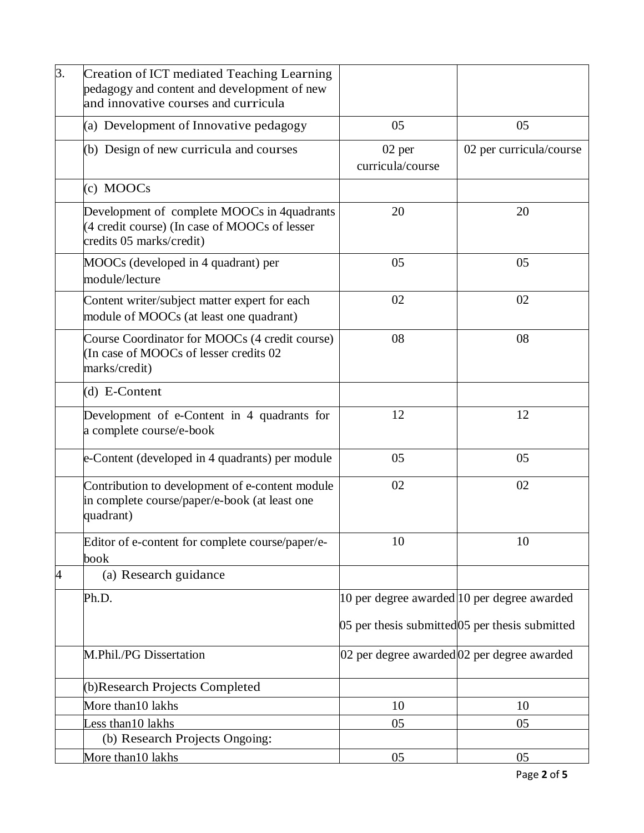| 3. | <b>Creation of ICT mediated Teaching Learning</b><br>pedagogy and content and development of new<br>and innovative courses and curricula |                            |                                                 |
|----|------------------------------------------------------------------------------------------------------------------------------------------|----------------------------|-------------------------------------------------|
|    | (a) Development of Innovative pedagogy                                                                                                   | 05                         | 05                                              |
|    | (b) Design of new curricula and courses                                                                                                  | 02 per<br>curricula/course | 02 per curricula/course                         |
|    | (c) MOOCs                                                                                                                                |                            |                                                 |
|    | Development of complete MOOCs in 4quadrants<br>(4 credit course) (In case of MOOCs of lesser<br>credits 05 marks/credit)                 | 20                         | 20                                              |
|    | MOOCs (developed in 4 quadrant) per<br>module/lecture                                                                                    | 05                         | 05                                              |
|    | Content writer/subject matter expert for each<br>module of MOOCs (at least one quadrant)                                                 | 02                         | 02                                              |
|    | Course Coordinator for MOOCs (4 credit course)<br>(In case of MOOCs of lesser credits 02)<br>marks/credit)                               | 08                         | 08                                              |
|    | $(d)$ E-Content                                                                                                                          |                            |                                                 |
|    | Development of e-Content in 4 quadrants for<br>a complete course/e-book                                                                  | 12                         | 12                                              |
|    | e-Content (developed in 4 quadrants) per module                                                                                          | 05                         | 05                                              |
|    | Contribution to development of e-content module<br>in complete course/paper/e-book (at least one<br>quadrant)                            | 02                         | 02                                              |
|    | Editor of e-content for complete course/paper/e-<br>book                                                                                 | 10                         | 10                                              |
| 4  | (a) Research guidance                                                                                                                    |                            |                                                 |
|    | Ph.D.                                                                                                                                    |                            | 10 per degree awarded 10 per degree awarded     |
|    |                                                                                                                                          |                            | 05 per thesis submitted 05 per thesis submitted |
|    | M.Phil./PG Dissertation                                                                                                                  |                            | 02 per degree awarded 02 per degree awarded     |
|    | (b)Research Projects Completed                                                                                                           |                            |                                                 |
|    | More than10 lakhs                                                                                                                        | 10                         | 10                                              |
|    | Less than 10 lakhs                                                                                                                       | 05                         | 05                                              |
|    | (b) Research Projects Ongoing:                                                                                                           |                            |                                                 |
|    | More than10 lakhs                                                                                                                        | 05                         | 05                                              |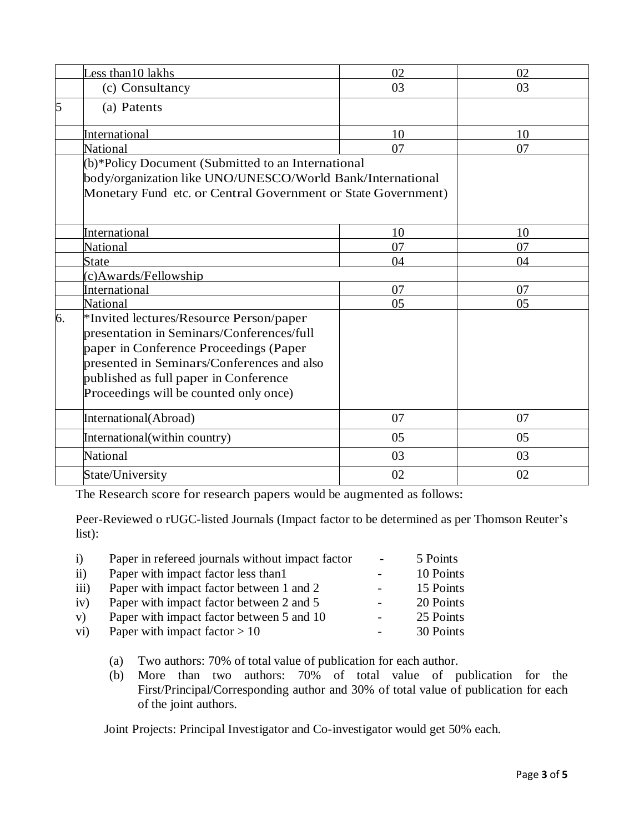|    | ess than 10 lakhs                                             | 02 | 02 |
|----|---------------------------------------------------------------|----|----|
|    | (c) Consultancy                                               | 03 | 03 |
| 5  | (a) Patents                                                   |    |    |
|    | International                                                 | 10 | 10 |
|    | National                                                      | 07 | 07 |
|    | (b)*Policy Document (Submitted to an International            |    |    |
|    | body/organization like UNO/UNESCO/World Bank/International    |    |    |
|    | Monetary Fund etc. or Central Government or State Government) |    |    |
|    |                                                               |    |    |
|    |                                                               |    |    |
|    | International                                                 | 10 | 10 |
|    | <b>National</b>                                               | 07 | 07 |
|    | State                                                         | 04 | 04 |
|    | (c)Awards/Fellowship                                          |    |    |
|    | International                                                 | 07 | 07 |
|    | National                                                      | 05 | 05 |
| 6. | *Invited lectures/Resource Person/paper                       |    |    |
|    | presentation in Seminars/Conferences/full                     |    |    |
|    | paper in Conference Proceedings (Paper                        |    |    |
|    | presented in Seminars/Conferences and also                    |    |    |
|    | published as full paper in Conference                         |    |    |
|    | Proceedings will be counted only once)                        |    |    |
|    |                                                               |    |    |
|    | International(Abroad)                                         | 07 | 07 |
|    | International(within country)                                 | 05 | 05 |
|    | National                                                      | 03 | 03 |
|    | State/University                                              | 02 | 02 |
|    |                                                               |    |    |

The Research score for research papers would be augmented as follows:

Peer-Reviewed o rUGC-listed Journals (Impact factor to be determined as per Thomson Reuter's list):

| $\mathbf{i}$ | Paper in refereed journals without impact factor | $\overline{a}$ | 5 Points  |
|--------------|--------------------------------------------------|----------------|-----------|
| $\rm ii)$    | Paper with impact factor less than 1             | -              | 10 Points |
| iii)         | Paper with impact factor between 1 and 2         | -              | 15 Points |
| iv)          | Paper with impact factor between 2 and 5         | -              | 20 Points |
| V)           | Paper with impact factor between 5 and 10        | $\overline{a}$ | 25 Points |
| vi)          | Paper with impact factor $> 10$                  | -              | 30 Points |
|              |                                                  |                |           |

(a) Two authors: 70% of total value of publication for each author.

(b) More than two authors: 70% of total value of publication for the First/Principal/Corresponding author and 30% of total value of publication for each of the joint authors.

Joint Projects: Principal Investigator and Co-investigator would get 50% each.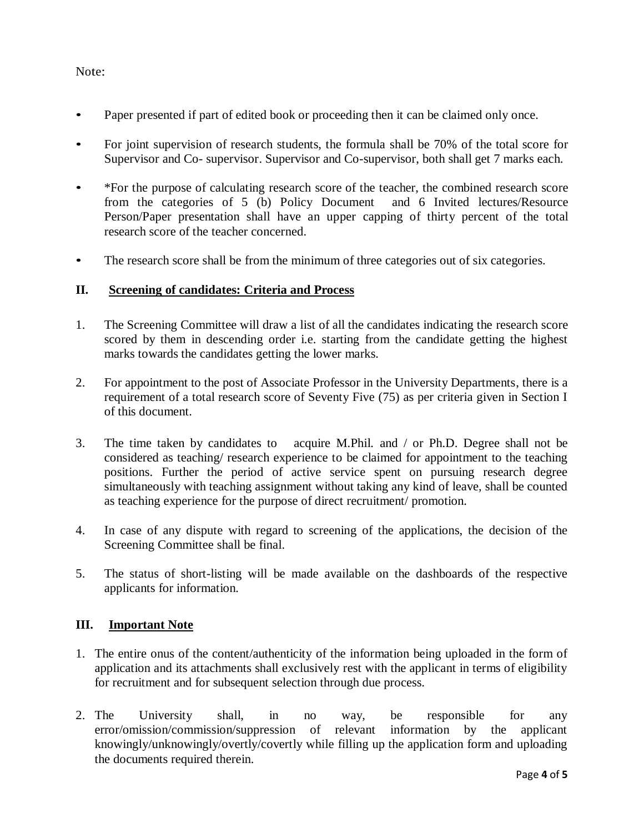### Note:

- Paper presented if part of edited book or proceeding then it can be claimed only once.
- For joint supervision of research students, the formula shall be 70% of the total score for Supervisor and Co- supervisor. Supervisor and Co-supervisor, both shall get 7 marks each.
- \*For the purpose of calculating research score of the teacher, the combined research score from the categories of 5 (b) Policy Document and 6 Invited lectures/Resource Person/Paper presentation shall have an upper capping of thirty percent of the total research score of the teacher concerned.
- The research score shall be from the minimum of three categories out of six categories.

### **II. Screening of candidates: Criteria and Process**

- 1. The Screening Committee will draw a list of all the candidates indicating the research score scored by them in descending order i.e. starting from the candidate getting the highest marks towards the candidates getting the lower marks.
- 2. For appointment to the post of Associate Professor in the University Departments, there is a requirement of a total research score of Seventy Five (75) as per criteria given in Section I of this document.
- 3. The time taken by candidates to acquire M.Phil. and / or Ph.D. Degree shall not be considered as teaching/ research experience to be claimed for appointment to the teaching positions. Further the period of active service spent on pursuing research degree simultaneously with teaching assignment without taking any kind of leave, shall be counted as teaching experience for the purpose of direct recruitment/ promotion.
- 4. In case of any dispute with regard to screening of the applications, the decision of the Screening Committee shall be final.
- 5. The status of short-listing will be made available on the dashboards of the respective applicants for information.

#### **III. Important Note**

- 1. The entire onus of the content/authenticity of the information being uploaded in the form of application and its attachments shall exclusively rest with the applicant in terms of eligibility for recruitment and for subsequent selection through due process.
- 2. The University shall, in no way, be responsible for any error/omission/commission/suppression of relevant information by the applicant knowingly/unknowingly/overtly/covertly while filling up the application form and uploading the documents required therein.